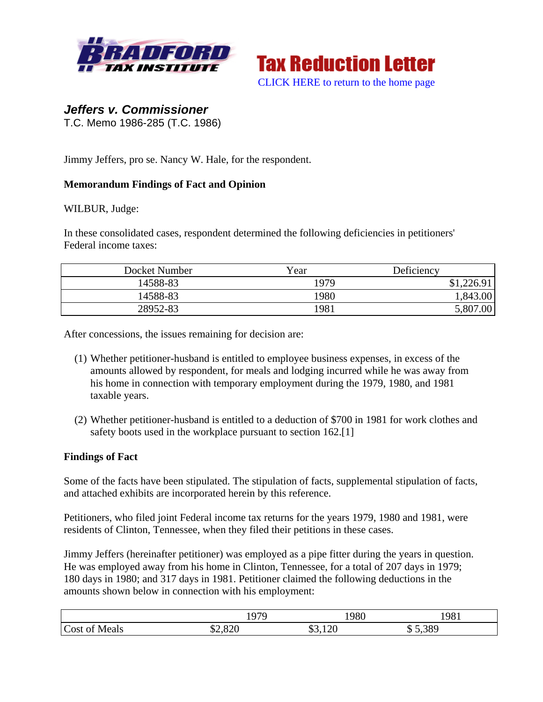



# *Jeffers v. Commissioner*

T.C. Memo 1986-285 (T.C. 1986)

Jimmy Jeffers, pro se. Nancy W. Hale, for the respondent.

### **Memorandum Findings of Fact and Opinion**

#### WILBUR, Judge:

In these consolidated cases, respondent determined the following deficiencies in petitioners' Federal income taxes:

| Docket Number | Year | Deficiency |
|---------------|------|------------|
| 14588-83      | 1979 | \$1,226.91 |
| 14588-83      | 1980 | 1,843.00   |
| 28952-83      | 1981 | 5,807.00   |

After concessions, the issues remaining for decision are:

- (1) Whether petitioner-husband is entitled to employee business expenses, in excess of the amounts allowed by respondent, for meals and lodging incurred while he was away from his home in connection with temporary employment during the 1979, 1980, and 1981 taxable years.
- (2) Whether petitioner-husband is entitled to a deduction of \$700 in 1981 for work clothes and safety boots used in the workplace pursuant to section 162.<sup>[1]</sup>

#### **Findings of Fact**

Some of the facts have been stipulated. The stipulation of facts, supplemental stipulation of facts, and attached exhibits are incorporated herein by this reference.

Petitioners, who filed joint Federal income tax returns for the years 1979, 1980 and 1981, were residents of Clinton, Tennessee, when they filed their petitions in these cases.

Jimmy Jeffers (hereinafter petitioner) was employed as a pipe fitter during the years in question. He was employed away from his home in Clinton, Tennessee, for a total of 207 days in 1979; 180 days in 1980; and 317 days in 1981. Petitioner claimed the following deductions in the amounts shown below in connection with his employment:

|                  | 107C                        | 1980            | 981   |
|------------------|-----------------------------|-----------------|-------|
| Cost of<br>Meals | ാറ<br>$\triangle$<br>D2,020 | $\sim$<br>$-40$ | 5,389 |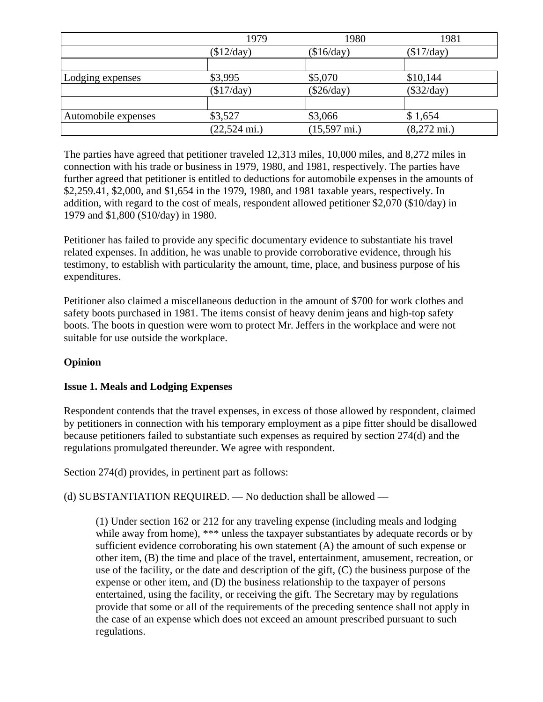|                     | 1979                   | 1980                   | 1981                  |
|---------------------|------------------------|------------------------|-----------------------|
|                     | \$12/day)              | $(\$16/day)$           | $(\$17/day)$          |
|                     |                        |                        |                       |
| Lodging expenses    | \$3,995                | \$5,070                | \$10,144              |
|                     | $(\$17/day)$           | $(\$26/day)$           | $(\$32/day)$          |
|                     |                        |                        |                       |
| Automobile expenses | \$3,527                | \$3,066                | \$1,654               |
|                     | $(22,524 \text{ mi.})$ | $(15,597 \text{ mi.})$ | $(8,272 \text{ mi.})$ |

The parties have agreed that petitioner traveled 12,313 miles, 10,000 miles, and 8,272 miles in connection with his trade or business in 1979, 1980, and 1981, respectively. The parties have further agreed that petitioner is entitled to deductions for automobile expenses in the amounts of \$2,259.41, \$2,000, and \$1,654 in the 1979, 1980, and 1981 taxable years, respectively. In addition, with regard to the cost of meals, respondent allowed petitioner \$2,070 (\$10/day) in 1979 and \$1,800 (\$10/day) in 1980.

Petitioner has failed to provide any specific documentary evidence to substantiate his travel related expenses. In addition, he was unable to provide corroborative evidence, through his testimony, to establish with particularity the amount, time, place, and business purpose of his expenditures.

Petitioner also claimed a miscellaneous deduction in the amount of \$700 for work clothes and safety boots purchased in 1981. The items consist of heavy denim jeans and high-top safety boots. The boots in question were worn to protect Mr. Jeffers in the workplace and were not suitable for use outside the workplace.

## **Opinion**

## **Issue 1. Meals and Lodging Expenses**

Respondent contends that the travel expenses, in excess of those allowed by respondent, claimed by petitioners in connection with his temporary employment as a pipe fitter should be disallowed because petitioners failed to substantiate such expenses as required by section 274(d) and the regulations promulgated thereunder. We agree with respondent.

Section 274(d) provides, in pertinent part as follows:

(d) SUBSTANTIATION REQUIRED. — No deduction shall be allowed —

(1) Under section 162 or 212 for any traveling expense (including meals and lodging while away from home), \*\*\* unless the taxpayer substantiates by adequate records or by sufficient evidence corroborating his own statement (A) the amount of such expense or other item, (B) the time and place of the travel, entertainment, amusement, recreation, or use of the facility, or the date and description of the gift, (C) the business purpose of the expense or other item, and (D) the business relationship to the taxpayer of persons entertained, using the facility, or receiving the gift. The Secretary may by regulations provide that some or all of the requirements of the preceding sentence shall not apply in the case of an expense which does not exceed an amount prescribed pursuant to such regulations.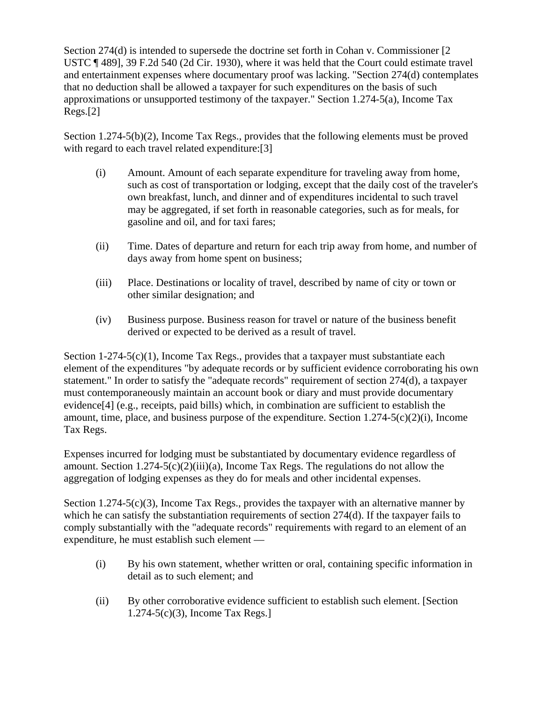Section 274(d) is intended to supersede the doctrine set forth in Cohan v. Commissioner [2 USTC ¶ 489], 39 F.2d 540 (2d Cir. 1930), where it was held that the Court could estimate travel and entertainment expenses where documentary proof was lacking. "Section 274(d) contemplates that no deduction shall be allowed a taxpayer for such expenditures on the basis of such approximations or unsupported testimony of the taxpayer." Section 1.274-5(a), Income Tax Regs.[2]

Section 1.274-5(b)(2), Income Tax Regs., provides that the following elements must be proved with regard to each travel related expenditure: [3]

- (i) Amount. Amount of each separate expenditure for traveling away from home, such as cost of transportation or lodging, except that the daily cost of the traveler's own breakfast, lunch, and dinner and of expenditures incidental to such travel may be aggregated, if set forth in reasonable categories, such as for meals, for gasoline and oil, and for taxi fares;
- (ii) Time. Dates of departure and return for each trip away from home, and number of days away from home spent on business;
- (iii) Place. Destinations or locality of travel, described by name of city or town or other similar designation; and
- (iv) Business purpose. Business reason for travel or nature of the business benefit derived or expected to be derived as a result of travel.

Section  $1-274-5(c)(1)$ , Income Tax Regs., provides that a taxpayer must substantiate each element of the expenditures "by adequate records or by sufficient evidence corroborating his own statement." In order to satisfy the "adequate records" requirement of section 274(d), a taxpayer must contemporaneously maintain an account book or diary and must provide documentary evidence[4] (e.g., receipts, paid bills) which, in combination are sufficient to establish the amount, time, place, and business purpose of the expenditure. Section 1.274-5(c)(2)(i), Income Tax Regs.

Expenses incurred for lodging must be substantiated by documentary evidence regardless of amount. Section  $1.274-5(c)(2)(iii)(a)$ , Income Tax Regs. The regulations do not allow the aggregation of lodging expenses as they do for meals and other incidental expenses.

Section 1.274-5(c)(3), Income Tax Regs., provides the taxpayer with an alternative manner by which he can satisfy the substantiation requirements of section 274(d). If the taxpayer fails to comply substantially with the "adequate records" requirements with regard to an element of an expenditure, he must establish such element —

- (i) By his own statement, whether written or oral, containing specific information in detail as to such element; and
- (ii) By other corroborative evidence sufficient to establish such element. [Section 1.274-5(c)(3), Income Tax Regs.]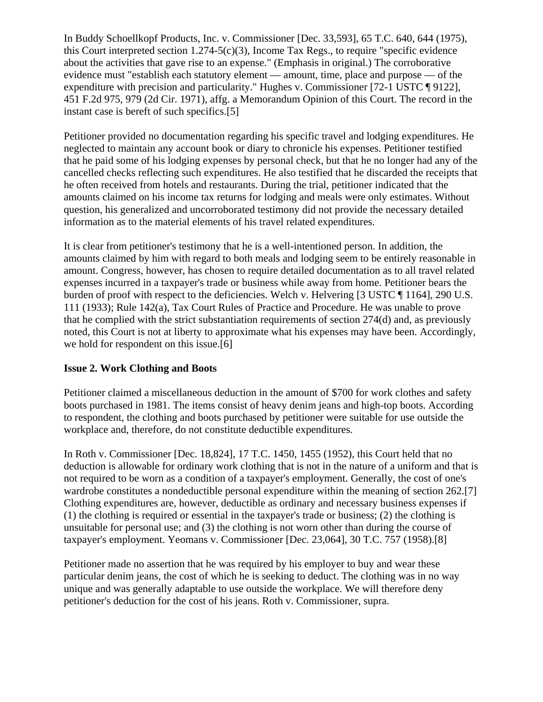In Buddy Schoellkopf Products, Inc. v. Commissioner [Dec. 33,593], 65 T.C. 640, 644 (1975), this Court interpreted section 1.274-5(c)(3), Income Tax Regs., to require "specific evidence about the activities that gave rise to an expense." (Emphasis in original.) The corroborative evidence must "establish each statutory element — amount, time, place and purpose — of the expenditure with precision and particularity." Hughes v. Commissioner [72-1 USTC ¶ 9122], 451 F.2d 975, 979 (2d Cir. 1971), affg. a Memorandum Opinion of this Court. The record in the instant case is bereft of such specifics.[5]

Petitioner provided no documentation regarding his specific travel and lodging expenditures. He neglected to maintain any account book or diary to chronicle his expenses. Petitioner testified that he paid some of his lodging expenses by personal check, but that he no longer had any of the cancelled checks reflecting such expenditures. He also testified that he discarded the receipts that he often received from hotels and restaurants. During the trial, petitioner indicated that the amounts claimed on his income tax returns for lodging and meals were only estimates. Without question, his generalized and uncorroborated testimony did not provide the necessary detailed information as to the material elements of his travel related expenditures.

It is clear from petitioner's testimony that he is a well-intentioned person. In addition, the amounts claimed by him with regard to both meals and lodging seem to be entirely reasonable in amount. Congress, however, has chosen to require detailed documentation as to all travel related expenses incurred in a taxpayer's trade or business while away from home. Petitioner bears the burden of proof with respect to the deficiencies. Welch v. Helvering [3 USTC ¶ 1164], 290 U.S. 111 (1933); Rule 142(a), Tax Court Rules of Practice and Procedure. He was unable to prove that he complied with the strict substantiation requirements of section 274(d) and, as previously noted, this Court is not at liberty to approximate what his expenses may have been. Accordingly, we hold for respondent on this issue.[6]

## **Issue 2. Work Clothing and Boots**

Petitioner claimed a miscellaneous deduction in the amount of \$700 for work clothes and safety boots purchased in 1981. The items consist of heavy denim jeans and high-top boots. According to respondent, the clothing and boots purchased by petitioner were suitable for use outside the workplace and, therefore, do not constitute deductible expenditures.

In Roth v. Commissioner [Dec. 18,824], 17 T.C. 1450, 1455 (1952), this Court held that no deduction is allowable for ordinary work clothing that is not in the nature of a uniform and that is not required to be worn as a condition of a taxpayer's employment. Generally, the cost of one's wardrobe constitutes a nondeductible personal expenditure within the meaning of section 262.[7] Clothing expenditures are, however, deductible as ordinary and necessary business expenses if (1) the clothing is required or essential in the taxpayer's trade or business; (2) the clothing is unsuitable for personal use; and (3) the clothing is not worn other than during the course of taxpayer's employment. Yeomans v. Commissioner [Dec. 23,064], 30 T.C. 757 (1958).[8]

Petitioner made no assertion that he was required by his employer to buy and wear these particular denim jeans, the cost of which he is seeking to deduct. The clothing was in no way unique and was generally adaptable to use outside the workplace. We will therefore deny petitioner's deduction for the cost of his jeans. Roth v. Commissioner, supra.